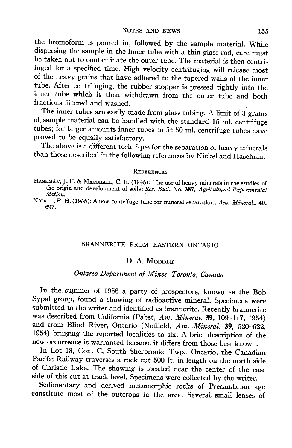the bromoform is poured in, followed by the sample material. While dispersing the sample in the inner tube with a thin glass rod, care must be taken not to contaminate the outer tube. The material is then centrifuged for a specified time. High velocity centrifuging will release most of the heavy grains that have adhered to the tapered walls of the inner tube. After centrifuging, the rubber stopper is pressed tightly into the inner tube which is then withdrawn from the outer tube and both fractions filtered and washed.

The inner tubes are easily made from glass tubing. A limit of 3 grams of sample material can be handled with the standard 15 ml. centrifuge tubes; for larger amounts inner tubes to fit 50 ml. centrifuge tubes have proved to be equally satisfactory.

The above is a different technique for the separation of heavy minerals than those described in the following references by Nickel and Haseman.

#### **REFERENCES**

HASEMÁN, J. F. & MARSHALL, C. E. (1945): The use of heavy minerals in the studies of the origin and development of soils; Res. Bull. No. 387, Agricultural Experimental Station.

NICKEL, E. H. (1955): A new centrifuge tube for mineral separation; Am. Mineral., 40, 697.

# BRANNERITE FROM EASTERN ONTARIO

### D. A. MODDLE

# Ontario Department of Mines, Toronto, Canada

In the summer of 1956 a party of prospectorg, known as the Bob Sypal group, found a showing of radioactive mineral. Specimens were submitted to the writer and identified as brannerite. Recently brannerite was described from California (Pabst, Am. Mineral. 39, 109-117, 1954) and from Blind River, Ontario (Nuffield, Am. Mineral. 39, 520-522, 1954) bringing the reported localities to six. A brief description of the new occurrence is warranted because it differs from those best known.

In Lot 18, Con. C, South Sherbrooke Twp., Ontario, the Canadian Pacific Railway traverses a rock cut 500 ft. in length on the north side of christie Lake. The showing is located near the center of the east side of this cut at track level. Specimens were collected by the writer.

Sedimentary and derived metamorphic rocks of Precambrian age constitute most of the outcrops in the area. Several small lenses of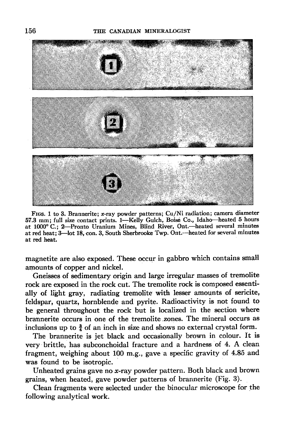

FIGS. 1 to 3. Brannerite; x-ray powder patterns; Cu/Ni radiation; camera diameter 57.3 mm; full size contact prints. 1-Kelly Gulch, Boise Co., Idaho-heated 5 hours at 1000° C.; 2—Pronto Uranium Mines, Blind River, Ont.—heated several minutes at red heat; 3-lot 18, con. 3, South Sherbrooke Twp. Ont.-heated for several minutes at red heat.

magnetite are also exposed. These occur in gabbro which contains small amounts of copper and nickel.

Gneisses of sedimentary origin and large irregular masses of tremolite rock are exposed in the rock cut. The tremolite rock is composed essenti' ally of light gray, radiating tremolite with lesser amounts of sericite, feldspar, quartz, hornblende and pyrite. Radioactivity is not found to be general throughout the rock but is localized in the section where brannerite occurs in one of the tremolite zones. The mineral occurs as inclusions up to  $\frac{3}{4}$  of an inch in size and shows no external crystal form.

The brannerite is jet black and occasionally brown in colour. It is very brittle, has subconchoidal fracture and a hardness of 4. A clean fragment, weighing about 100 m.g., gave a specific gravity of 4.85 and was found to be isotropic.

Unheated grains gave no  $x$ -ray powder pattern. Both black and brown grains, when heated, gave powder patterns of brannerite (Fig. 3).

Clean fragments were selected under the binocular microscope for the following analytical work.